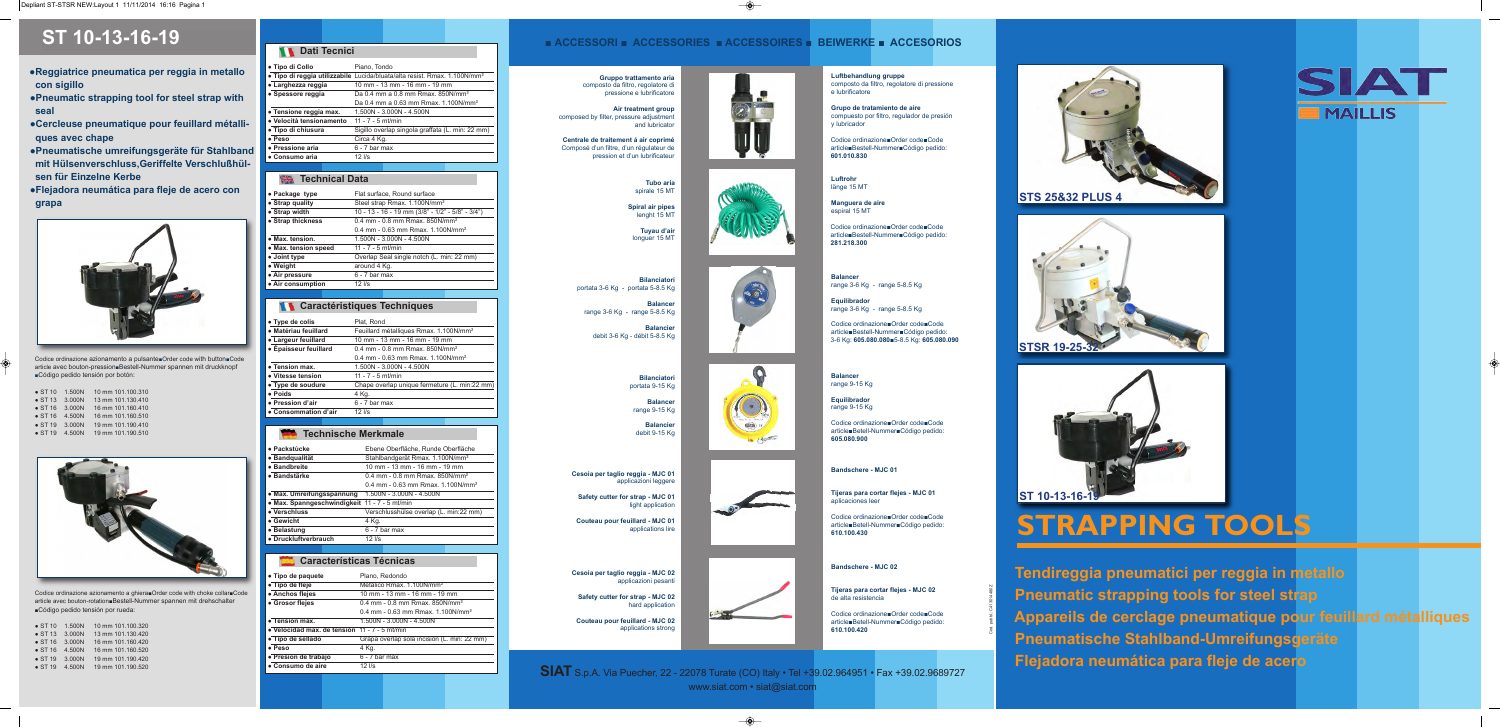**Tendireggia pneumatici per reggia in metallo Pneumatic strapping tools for steel strap Appareils de cerclage pneumatique pour feuillard métalliques Pneumatische Stahlband-Umreifungsgeräte Flejadora neumática para fleje de acero**



# **STRAPPING TOOLS**

- **●Reggiatrice pneumatica per reggia in metallo con sigillo**
- **●Pneumatic strapping tool for steel strap with seal**
- **●Cercleuse pneumatique pour feuillard métalliques avec chape**
- **●Pneumatische umreifungsgeräte für Stahlband mit Hülsenverschluss,Geriffelte Verschlußhülsen für Einzelne Kerbe**
- **●Flejadora neumática para fleje de acero con grapa**



| • Package type       | Flat surface, Round surface                      |  |
|----------------------|--------------------------------------------------|--|
| • Strap quality      | Steel strap Rmax. 1.100N/mm <sup>2</sup>         |  |
| • Strap width        | 10 - 13 - 16 - 19 mm (3/8" - 1/2" - 5/8" - 3/4") |  |
| • Strap thickness    | $0.4$ mm - $0.8$ mm Rmax, 850N/mm <sup>2</sup>   |  |
|                      | $0.4$ mm - 0.63 mm Rmax, 1.100N/mm <sup>2</sup>  |  |
| • Max. tension.      | 1.500N - 3.000N - 4.500N                         |  |
| • Max. tension speed | $11 - 7 - 5$ mt/min                              |  |
| • Joint type         | Overlap Seal single notch (L. min: 22 mm)        |  |
| • Weight             | around 4 Kg.                                     |  |
| • Air pressure       | $6 - 7$ bar max                                  |  |
| • Air consumption    | $12$ I/s                                         |  |

|                       | <b>11</b> Caractéristiques Techniques              |  |
|-----------------------|----------------------------------------------------|--|
| • Type de colis       | Plat. Rond                                         |  |
| • Matériau feuillard  | Feuillard métalliques Rmax. 1.100N/mm <sup>2</sup> |  |
| • Largeur feuillard   | 10 mm - 13 mm - 16 mm - 19 mm                      |  |
| • Épaisseur feuillard | $0.4$ mm - 0.8 mm Rmax, 850N/mm <sup>2</sup>       |  |
|                       | 0.4 mm - 0.63 mm Rmax. 1.100N/mm <sup>2</sup>      |  |
| • Tension max.        | 1.500N - 3.000N - 4.500N                           |  |
| • Vitesse tension     | $11 - 7 - 5$ mt/min                                |  |
| • Type de soudure     | Chape overlap unique fermeture (L. min:22 mm)      |  |
| • Poids               | 4 Kg.                                              |  |
| • Pression d'air      | $6 - 7$ bar max                                    |  |
| • Consommation d'air  | $12$ $\text{I/s}$                                  |  |

| • Packstùcke                                  | Ebene Oberfläche, Runde Oberfläche            |
|-----------------------------------------------|-----------------------------------------------|
| • Bandqualität                                | Stahlbandgerät Rmax. 1.100N/mm <sup>2</sup>   |
| • Bandbreite                                  | 10 mm - 13 mm - 16 mm - 19 mm                 |
| ● Bandstärke                                  | $0.4$ mm - 0.8 mm Rmax, 850N/mm <sup>2</sup>  |
|                                               | 0.4 mm - 0.63 mm Rmax, 1.100N/mm <sup>2</sup> |
| • Max. Umreifungsspannung                     | 1.500N - 3.000N - 4.500N                      |
| • Max. Spanngeschwindigkeit 11 - 7 - 5 mt/min |                                               |
| • Verschluss                                  | Verschlusshülse overlap (L. min:22 mm)        |
| • Gewicht                                     | 4 Kg.                                         |
| • Belastung                                   | $6 - 7$ bar max                               |
| • Druckluftverbrauch                          | $12$ $\text{I/s}$                             |

#### **Technische Merkmale**

| • Tipo de paquete                             | Plano, Redondo                                  |
|-----------------------------------------------|-------------------------------------------------|
| • Tipo de fleje                               | Metálico Rmax, 1.100N/mm <sup>2</sup>           |
| • Anchos flejes                               | 10 mm - 13 mm - 16 mm - 19 mm                   |
| • Grosor flejes                               | 0.4 mm - 0.8 mm Rmax, 850N/mm <sup>2</sup>      |
|                                               | $0.4$ mm - 0.63 mm Rmax, 1.100N/mm <sup>2</sup> |
| • Tensión máx.                                | 1.500N - 3.000N - 4.500N                        |
| • Velocidad max, de tensión 11 - 7 - 5 mt/min |                                                 |
| • Tipo de sellado                             | Grapa overlap sola incisión (L. min: 22 mm)     |
| • Peso                                        | 4 Kg.                                           |
| • Presion de trabajo                          | $6 - 7$ bar max                                 |
| • Consumo de aire                             | $12$ I/s                                        |

#### **Características Técnicas**

**Safety cutter for strap - MJC 01**  light application

| <b>N</b> Dati Tecnici |                                                                                       |
|-----------------------|---------------------------------------------------------------------------------------|
| • Tipo di Collo       | Piano. Tondo                                                                          |
|                       | • Tipo di reggia utilizzabile Lucida/bluata/alta resist. Rmax. 1.100N/mm <sup>2</sup> |
|                       |                                                                                       |

| • Larghezza reggia       | 10 mm - 13 mm - 16 mm - 19 mm                    |
|--------------------------|--------------------------------------------------|
| · Spessore reggia        | Da 0.4 mm a 0.8 mm Rmax, 850N/mm <sup>2</sup>    |
|                          | Da 0.4 mm a 0.63 mm Rmax, 1.100N/mm <sup>2</sup> |
| • Tensione reggia max.   | 1.500N - 3.000N - 4.500N                         |
| • Velocità tensionamento | $11 - 7 - 5$ mt/min                              |
| • Tipo di chiusura       | Sigillo overlap singola graffata (L. min: 22 mm) |
| • Peso                   | Circa 4 Kg.                                      |
| • Pressione aria         | $6 - 7$ bar max                                  |
| • Consumo aria           | $12$ $\text{I/s}$                                |

#### **Technical Data**

## **ST 10-13-16-19**

Codice ordinazione azionamento a pulsante■Order code with button■Code article avec bouton-pression■Bestell-Nummer spannen mit druckknopf ■Código pedido tensión por botón:

| $\bullet$ ST 10 | 1.500N | 10 mm 101.100.310 |
|-----------------|--------|-------------------|
| $\bullet$ ST 13 | 3.000N | 13 mm 101.130.410 |
| $\bullet$ ST 16 | 3.000N | 16 mm 101.160.410 |
| $\bullet$ ST 16 | 4.500N | 16 mm 101.160.510 |
| $\bullet$ ST 19 | 3.000N | 19 mm 101.190.410 |
| $\bullet$ ST 19 | 4.500N | 19 mm 101.190.510 |

















### ■ **ACCESSORI ■ ACCESSORIES ■ ACCESSOIRES ■ BEIWERKE ■ ACCESORIOS**

**Gruppo trattamento aria**  composto da filtro, regolatore di pressione e lubrificatore

**Air treatment group** composed by filter, pressure adjustment and lubricator

**Centrale de traitement á air coprimé** Composé d'un filtre, d'un régulateur de pression et d'un lubrificateur

**Luftbehandlung gruppe**

composto da filtro, regolatore di pressione

e lubrificatore

**Grupo de tratamiento de aire**

compuesto por filtro, regulador de presión

y lubricador

Codice ordinazione■Order code■Code article■Bestell-Nummer■Código pedido:

**601.010.830**

**Tubo aria** spirale 15 MT

**Spiral air pipes**  lenght 15 MT

**Tuyau d'air** longuer 15 MT **Luftrohr**  länge 15 MT

**Manguera de aire** espiral 15 MT

Codice ordinazione■Order code■Code article■Bestell-Nummer■Código pedido: **281.218.300**

**Bilanciatori** portata 3-6 Kg - portata 5-8.5 Kg

**Balancer**  range 3-6 Kg - range 5-8.5 Kg

**Balancier** debit 3-6 Kg - débit 5-8.5 Kg

**Balancer** range 3-6 Kg - range 5-8.5 Kg

**Equilibrador** range 3-6 Kg - range 5-8.5 Kg

Codice ordinazione■Order code■Code article ■Bestell-Nummer■Código pedido: 3-6 Kg: **605.080.080**■5-8.5 Kg: **605.080.090**

**Bilanciatori** portata 9-15 Kg

> **Balancer**  range 9-15 Kg

**Balancier** debit 9-15 Kg

**Balancer** range 9-15 Kg

> **Equilibrador** range 9-15 Kg

> > Codice ordinazione■Order code■Code article ■Betell-Nummer■Código pedido: **605.080.900**



 $10 (5 - 1)$ 

**Cesoia per taglio reggia - MJC 01** applicazioni leggere

**Couteau pour feuillard - MJC 01** applications lire

**Bandschere - MJC 01**

**Tijeras para cortar flejes - MJC 01** aplicaciones leer

Codice ordinazione■Order code■Code article ■Betell-Nummer■Código pedido: **610.100.430**

**Cesoia per taglio reggia - MJC 02** applicazioni pesanti

**Safety cutter for strap - MJC 02**  hard application

**Couteau pour feuillard - MJC 02** applications strong

**Bandschere - MJC 02**

**Tijeras para cortar flejes - MJC 02** de alta resistencia

Codice ordinazione■Order code■Code article ■Betell-Nummer■Código pedido: **610.100.420**

Codice ordinazione azionamento a ghiera■Order code with choke collar■Code article avec bouton-rotation ■Bestell-Nummer spannen mit drehschalter ■Código pedido tensión por rueda:

| $\bullet$ ST 10 | 1.500N | 10 mm 101.100.320 |
|-----------------|--------|-------------------|
| $\bullet$ ST 13 | 3.000N | 13 mm 101.130.420 |
| $\bullet$ ST 16 | 3.000N | 16 mm 101.160.420 |
| $\bullet$ ST 16 | 4.500N | 16 mm 101.160.520 |
| $\bullet$ ST 19 | 3.000N | 19 mm 101.190.420 |
| $\bullet$ ST 19 | 4.500N | 19 mm 101.190.520 |
|                 |        |                   |

Cod. pubbl.: C413014480Z